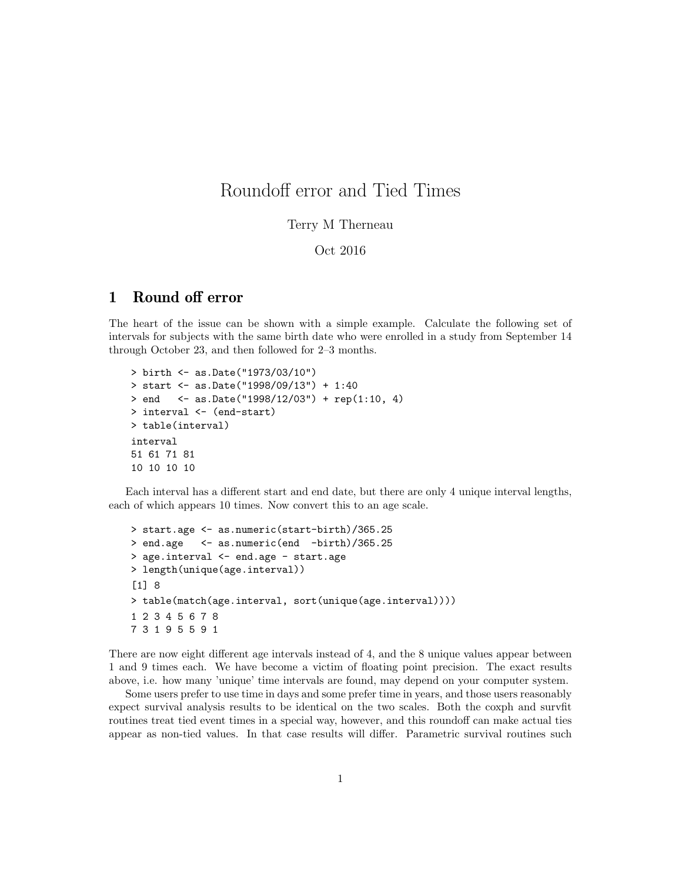## Roundoff error and Tied Times

## Terry M Therneau

## Oct 2016

## 1 Round off error

The heart of the issue can be shown with a simple example. Calculate the following set of intervals for subjects with the same birth date who were enrolled in a study from September 14 through October 23, and then followed for 2–3 months.

```
> birth <- as.Date("1973/03/10")
> start <- as.Date("1998/09/13") + 1:40
> end <- as.Date("1998/12/03") + rep(1:10, 4)> interval <- (end-start)
> table(interval)
interval
51 61 71 81
10 10 10 10
```
Each interval has a different start and end date, but there are only 4 unique interval lengths, each of which appears 10 times. Now convert this to an age scale.

```
> start.age <- as.numeric(start-birth)/365.25
> end.age <- as.numeric(end -birth)/365.25
> age.interval <- end.age - start.age
> length(unique(age.interval))
[1] 8
> table(match(age.interval, sort(unique(age.interval))))
1 2 3 4 5 6 7 8
7 3 1 9 5 5 9 1
```
There are now eight different age intervals instead of 4, and the 8 unique values appear between 1 and 9 times each. We have become a victim of floating point precision. The exact results above, i.e. how many 'unique' time intervals are found, may depend on your computer system.

Some users prefer to use time in days and some prefer time in years, and those users reasonably expect survival analysis results to be identical on the two scales. Both the coxph and survfit routines treat tied event times in a special way, however, and this roundoff can make actual ties appear as non-tied values. In that case results will differ. Parametric survival routines such